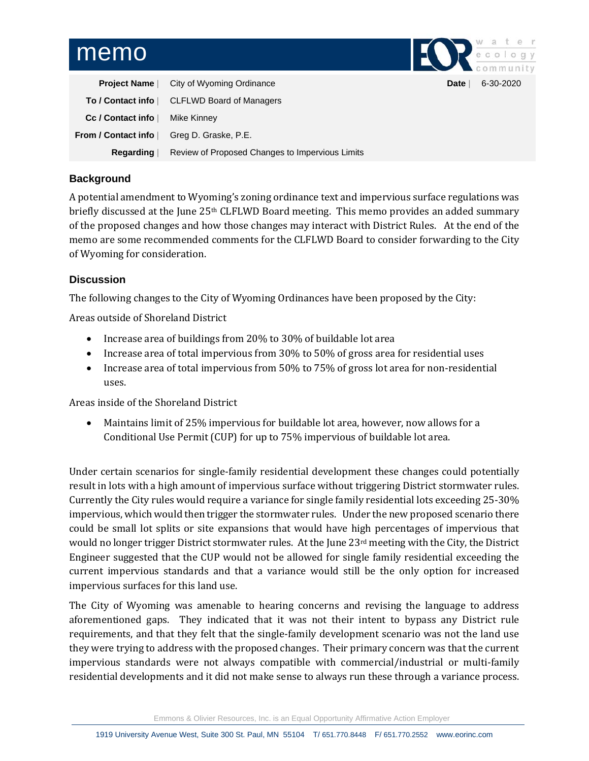## memo

|  | community |  |  |
|--|-----------|--|--|

**Pate** | 6-30-2020

| <b>Project Name</b>        | City of Wyoming Ordinance                       |
|----------------------------|-------------------------------------------------|
| To / Contact info          | CLFLWD Board of Managers                        |
| Cc / Contact info          | Mike Kinney                                     |
| <b>From / Contact info</b> | Greg D. Graske, P.E.                            |
| Regarding                  | Review of Proposed Changes to Impervious Limits |

## **Background**

A potential amendment to Wyoming's zoning ordinance text and impervious surface regulations was briefly discussed at the June 25th CLFLWD Board meeting. This memo provides an added summary of the proposed changes and how those changes may interact with District Rules. At the end of the memo are some recommended comments for the CLFLWD Board to consider forwarding to the City of Wyoming for consideration.

## **Discussion**

The following changes to the City of Wyoming Ordinances have been proposed by the City:

Areas outside of Shoreland District

- Increase area of buildings from 20% to 30% of buildable lot area
- Increase area of total impervious from 30% to 50% of gross area for residential uses
- Increase area of total impervious from 50% to 75% of gross lot area for non-residential uses.

Areas inside of the Shoreland District

• Maintains limit of 25% impervious for buildable lot area, however, now allows for a Conditional Use Permit (CUP) for up to 75% impervious of buildable lot area.

Under certain scenarios for single-family residential development these changes could potentially result in lots with a high amount of impervious surface without triggering District stormwater rules. Currently the City rules would require a variance for single family residential lots exceeding 25-30% impervious, which would then trigger the stormwater rules. Under the new proposed scenario there could be small lot splits or site expansions that would have high percentages of impervious that would no longer trigger District stormwater rules. At the June 23rd meeting with the City, the District Engineer suggested that the CUP would not be allowed for single family residential exceeding the current impervious standards and that a variance would still be the only option for increased impervious surfaces for this land use.

The City of Wyoming was amenable to hearing concerns and revising the language to address aforementioned gaps. They indicated that it was not their intent to bypass any District rule requirements, and that they felt that the single-family development scenario was not the land use they were trying to address with the proposed changes. Their primary concern was that the current impervious standards were not always compatible with commercial/industrial or multi-family residential developments and it did not make sense to always run these through a variance process.